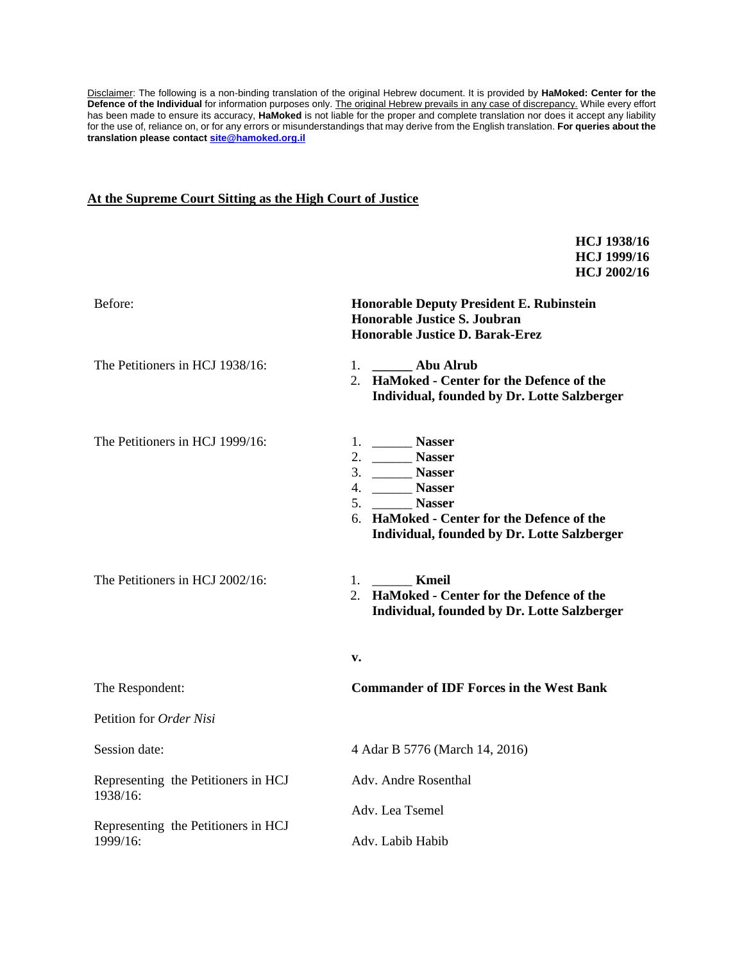Disclaimer: The following is a non-binding translation of the original Hebrew document. It is provided by **HaMoked: Center for the Defence of the Individual** for information purposes only. The original Hebrew prevails in any case of discrepancy. While every effort has been made to ensure its accuracy, **HaMoked** is not liable for the proper and complete translation nor does it accept any liability for the use of, reliance on, or for any errors or misunderstandings that may derive from the English translation. **For queries about the translation please contact [site@hamoked.org.il](mailto:site@hamoked.org.il)**

**HCJ 1938/16**

#### **At the Supreme Court Sitting as the High Court of Justice**

**HCJ 1999/16 HCJ 2002/16** Before: **Honorable Deputy President E. Rubinstein Honorable Justice S. Joubran Honorable Justice D. Barak-Erez** The Petitioners in HCJ 1938/16: The Petitioners in HCJ 1999/16: The Petitioners in HCJ 2002/16: 1. **\_\_\_\_\_\_ Abu Alrub** 2. **HaMoked - Center for the Defence of the Individual, founded by Dr. Lotte Salzberger** 1. \_\_\_\_\_\_ **Nasser** 2. \_\_\_\_\_\_ **Nasser** 3. \_\_\_\_\_\_ **Nasser** 4. \_\_\_\_\_\_ **Nasser** 5. \_\_\_\_\_\_ **Nasser** 6. **HaMoked - Center for the Defence of the Individual, founded by Dr. Lotte Salzberger** 1. \_\_\_\_\_\_ **Kmeil** 2. **HaMoked - Center for the Defence of the Individual, founded by Dr. Lotte Salzberger v.** The Respondent: **Commander of IDF Forces in the West Bank** Petition for *Order Nisi* Session date: 4 Adar B 5776 (March 14, 2016) Representing the Petitioners in HCJ 1938/16: Representing the Petitioners in HCJ 1999/16: Adv. Andre Rosenthal Adv. Lea Tsemel Adv. Labib Habib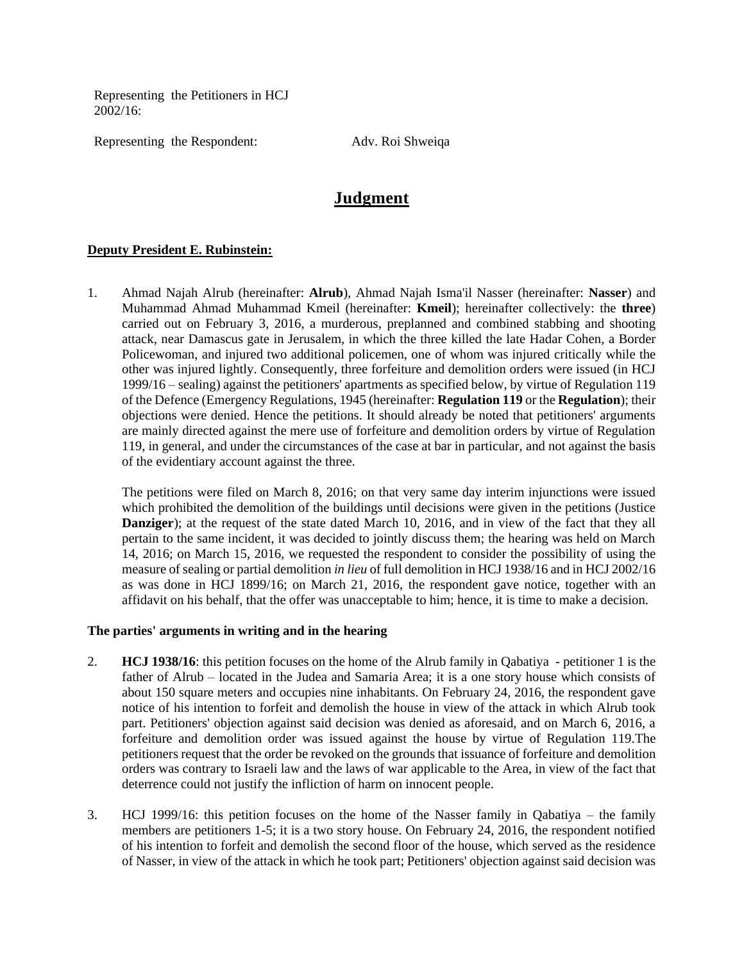Representing the Petitioners in HCJ 2002/16:

Representing the Respondent: Adv. Roi Shweiqa

# **Judgment**

### **Deputy President E. Rubinstein:**

1. Ahmad Najah Alrub (hereinafter: **Alrub**), Ahmad Najah Isma'il Nasser (hereinafter: **Nasser**) and Muhammad Ahmad Muhammad Kmeil (hereinafter: **Kmeil**); hereinafter collectively: the **three**) carried out on February 3, 2016, a murderous, preplanned and combined stabbing and shooting attack, near Damascus gate in Jerusalem, in which the three killed the late Hadar Cohen, a Border Policewoman, and injured two additional policemen, one of whom was injured critically while the other was injured lightly. Consequently, three forfeiture and demolition orders were issued (in HCJ 1999/16 – sealing) against the petitioners' apartments as specified below, by virtue of Regulation 119 of the Defence (Emergency Regulations, 1945 (hereinafter: **Regulation 119** or the **Regulation**); their objections were denied. Hence the petitions. It should already be noted that petitioners' arguments are mainly directed against the mere use of forfeiture and demolition orders by virtue of Regulation 119, in general, and under the circumstances of the case at bar in particular, and not against the basis of the evidentiary account against the three.

The petitions were filed on March 8, 2016; on that very same day interim injunctions were issued which prohibited the demolition of the buildings until decisions were given in the petitions (Justice **Danziger**); at the request of the state dated March 10, 2016, and in view of the fact that they all pertain to the same incident, it was decided to jointly discuss them; the hearing was held on March 14, 2016; on March 15, 2016, we requested the respondent to consider the possibility of using the measure of sealing or partial demolition *in lieu* of full demolition in HCJ 1938/16 and in HCJ 2002/16 as was done in HCJ 1899/16; on March 21, 2016, the respondent gave notice, together with an affidavit on his behalf, that the offer was unacceptable to him; hence, it is time to make a decision.

#### **The parties' arguments in writing and in the hearing**

- 2. **HCJ 1938/16**: this petition focuses on the home of the Alrub family in Qabatiya petitioner 1 is the father of Alrub – located in the Judea and Samaria Area; it is a one story house which consists of about 150 square meters and occupies nine inhabitants. On February 24, 2016, the respondent gave notice of his intention to forfeit and demolish the house in view of the attack in which Alrub took part. Petitioners' objection against said decision was denied as aforesaid, and on March 6, 2016, a forfeiture and demolition order was issued against the house by virtue of Regulation 119.The petitioners request that the order be revoked on the grounds that issuance of forfeiture and demolition orders was contrary to Israeli law and the laws of war applicable to the Area, in view of the fact that deterrence could not justify the infliction of harm on innocent people.
- 3. HCJ 1999/16: this petition focuses on the home of the Nasser family in Qabatiya the family members are petitioners 1-5; it is a two story house. On February 24, 2016, the respondent notified of his intention to forfeit and demolish the second floor of the house, which served as the residence of Nasser, in view of the attack in which he took part; Petitioners' objection against said decision was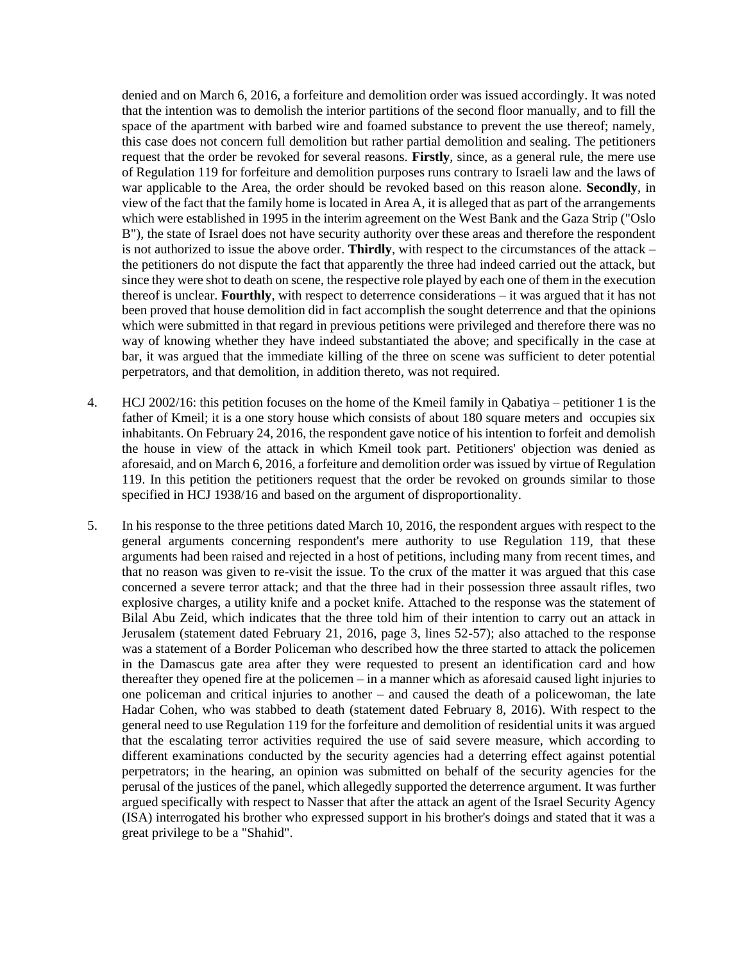denied and on March 6, 2016, a forfeiture and demolition order was issued accordingly. It was noted that the intention was to demolish the interior partitions of the second floor manually, and to fill the space of the apartment with barbed wire and foamed substance to prevent the use thereof; namely, this case does not concern full demolition but rather partial demolition and sealing. The petitioners request that the order be revoked for several reasons. **Firstly**, since, as a general rule, the mere use of Regulation 119 for forfeiture and demolition purposes runs contrary to Israeli law and the laws of war applicable to the Area, the order should be revoked based on this reason alone. **Secondly**, in view of the fact that the family home is located in Area A, it is alleged that as part of the arrangements which were established in 1995 in the interim agreement on the West Bank and the Gaza Strip ("Oslo B"), the state of Israel does not have security authority over these areas and therefore the respondent is not authorized to issue the above order. **Thirdly**, with respect to the circumstances of the attack – the petitioners do not dispute the fact that apparently the three had indeed carried out the attack, but since they were shot to death on scene, the respective role played by each one of them in the execution thereof is unclear. **Fourthly**, with respect to deterrence considerations – it was argued that it has not been proved that house demolition did in fact accomplish the sought deterrence and that the opinions which were submitted in that regard in previous petitions were privileged and therefore there was no way of knowing whether they have indeed substantiated the above; and specifically in the case at bar, it was argued that the immediate killing of the three on scene was sufficient to deter potential perpetrators, and that demolition, in addition thereto, was not required.

- 4. HCJ 2002/16: this petition focuses on the home of the Kmeil family in Qabatiya petitioner 1 is the father of Kmeil; it is a one story house which consists of about 180 square meters and occupies six inhabitants. On February 24, 2016, the respondent gave notice of his intention to forfeit and demolish the house in view of the attack in which Kmeil took part. Petitioners' objection was denied as aforesaid, and on March 6, 2016, a forfeiture and demolition order was issued by virtue of Regulation 119. In this petition the petitioners request that the order be revoked on grounds similar to those specified in HCJ 1938/16 and based on the argument of disproportionality.
- 5. In his response to the three petitions dated March 10, 2016, the respondent argues with respect to the general arguments concerning respondent's mere authority to use Regulation 119, that these arguments had been raised and rejected in a host of petitions, including many from recent times, and that no reason was given to re-visit the issue. To the crux of the matter it was argued that this case concerned a severe terror attack; and that the three had in their possession three assault rifles, two explosive charges, a utility knife and a pocket knife. Attached to the response was the statement of Bilal Abu Zeid, which indicates that the three told him of their intention to carry out an attack in Jerusalem (statement dated February 21, 2016, page 3, lines 52-57); also attached to the response was a statement of a Border Policeman who described how the three started to attack the policemen in the Damascus gate area after they were requested to present an identification card and how thereafter they opened fire at the policemen – in a manner which as aforesaid caused light injuries to one policeman and critical injuries to another – and caused the death of a policewoman, the late Hadar Cohen, who was stabbed to death (statement dated February 8, 2016). With respect to the general need to use Regulation 119 for the forfeiture and demolition of residential units it was argued that the escalating terror activities required the use of said severe measure, which according to different examinations conducted by the security agencies had a deterring effect against potential perpetrators; in the hearing, an opinion was submitted on behalf of the security agencies for the perusal of the justices of the panel, which allegedly supported the deterrence argument. It was further argued specifically with respect to Nasser that after the attack an agent of the Israel Security Agency (ISA) interrogated his brother who expressed support in his brother's doings and stated that it was a great privilege to be a "Shahid".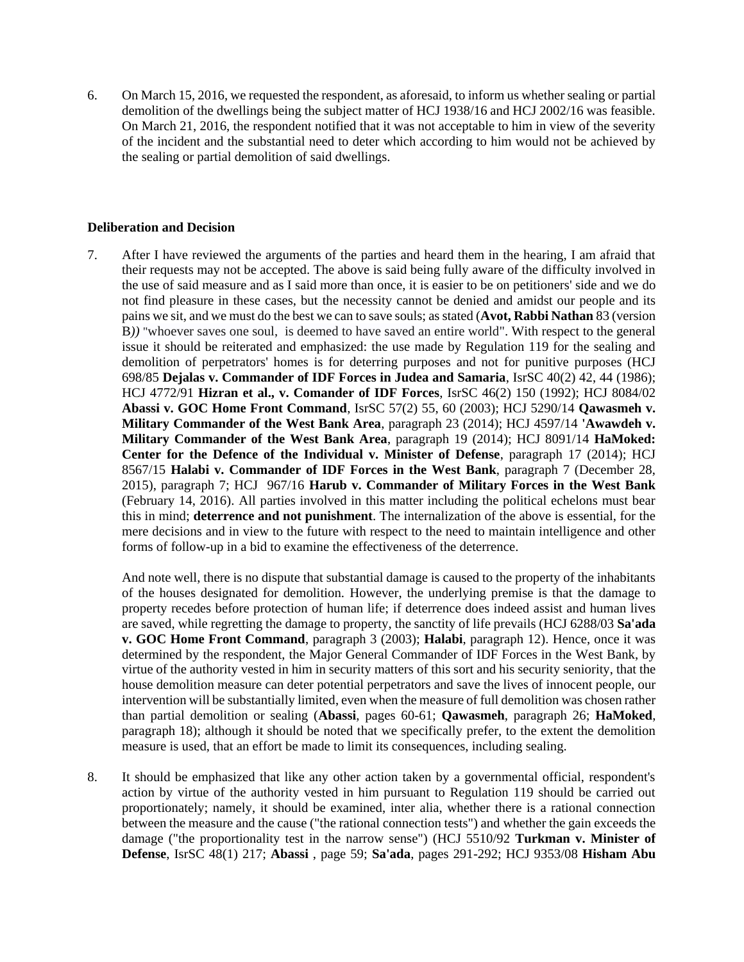6. On March 15, 2016, we requested the respondent, as aforesaid, to inform us whether sealing or partial demolition of the dwellings being the subject matter of HCJ 1938/16 and HCJ 2002/16 was feasible. On March 21, 2016, the respondent notified that it was not acceptable to him in view of the severity of the incident and the substantial need to deter which according to him would not be achieved by the sealing or partial demolition of said dwellings.

## **Deliberation and Decision**

7. After I have reviewed the arguments of the parties and heard them in the hearing, I am afraid that their requests may not be accepted. The above is said being fully aware of the difficulty involved in the use of said measure and as I said more than once, it is easier to be on petitioners' side and we do not find pleasure in these cases, but the necessity cannot be denied and amidst our people and its pains we sit, and we must do the best we can to save souls; as stated (**Avot, Rabbi Nathan** 83 (version B*))* "whoever saves one soul, is deemed to have saved an entire world". With respect to the general issue it should be reiterated and emphasized: the use made by Regulation 119 for the sealing and demolition of perpetrators' homes is for deterring purposes and not for punitive purposes (HCJ 698/85 **Dejalas v. Commander of IDF Forces in Judea and Samaria**, IsrSC 40(2) 42, 44 (1986); HCJ 4772/91 **Hizran et al., v. Comander of IDF Forces**, IsrSC 46(2) 150 (1992); HCJ 8084/02 **Abassi v. GOC Home Front Command**, IsrSC 57(2) 55, 60 (2003); HCJ 5290/14 **Qawasmeh v. Military Commander of the West Bank Area**, paragraph 23 (2014); HCJ 4597/14 **'Awawdeh v. Military Commander of the West Bank Area**, paragraph 19 (2014); HCJ 8091/14 **HaMoked: Center for the Defence of the Individual v. Minister of Defense**, paragraph 17 (2014); HCJ 8567/15 **Halabi v. Commander of IDF Forces in the West Bank**, paragraph 7 (December 28, 2015), paragraph 7; HCJ 967/16 **Harub v. Commander of Military Forces in the West Bank** (February 14, 2016). All parties involved in this matter including the political echelons must bear this in mind; **deterrence and not punishment**. The internalization of the above is essential, for the mere decisions and in view to the future with respect to the need to maintain intelligence and other forms of follow-up in a bid to examine the effectiveness of the deterrence.

And note well, there is no dispute that substantial damage is caused to the property of the inhabitants of the houses designated for demolition. However, the underlying premise is that the damage to property recedes before protection of human life; if deterrence does indeed assist and human lives are saved, while regretting the damage to property, the sanctity of life prevails (HCJ 6288/03 **Sa'ada v. GOC Home Front Command**, paragraph 3 (2003); **Halabi**, paragraph 12). Hence, once it was determined by the respondent, the Major General Commander of IDF Forces in the West Bank, by virtue of the authority vested in him in security matters of this sort and his security seniority, that the house demolition measure can deter potential perpetrators and save the lives of innocent people, our intervention will be substantially limited, even when the measure of full demolition was chosen rather than partial demolition or sealing (**Abassi**, pages 60-61; **Qawasmeh**, paragraph 26; **HaMoked**, paragraph 18); although it should be noted that we specifically prefer, to the extent the demolition measure is used, that an effort be made to limit its consequences, including sealing.

8. It should be emphasized that like any other action taken by a governmental official, respondent's action by virtue of the authority vested in him pursuant to Regulation 119 should be carried out proportionately; namely, it should be examined, inter alia, whether there is a rational connection between the measure and the cause ("the rational connection tests") and whether the gain exceeds the damage ("the proportionality test in the narrow sense") (HCJ 5510/92 **Turkman v. Minister of Defense**, IsrSC 48(1) 217; **Abassi** , page 59; **Sa'ada**, pages 291-292; HCJ 9353/08 **Hisham Abu**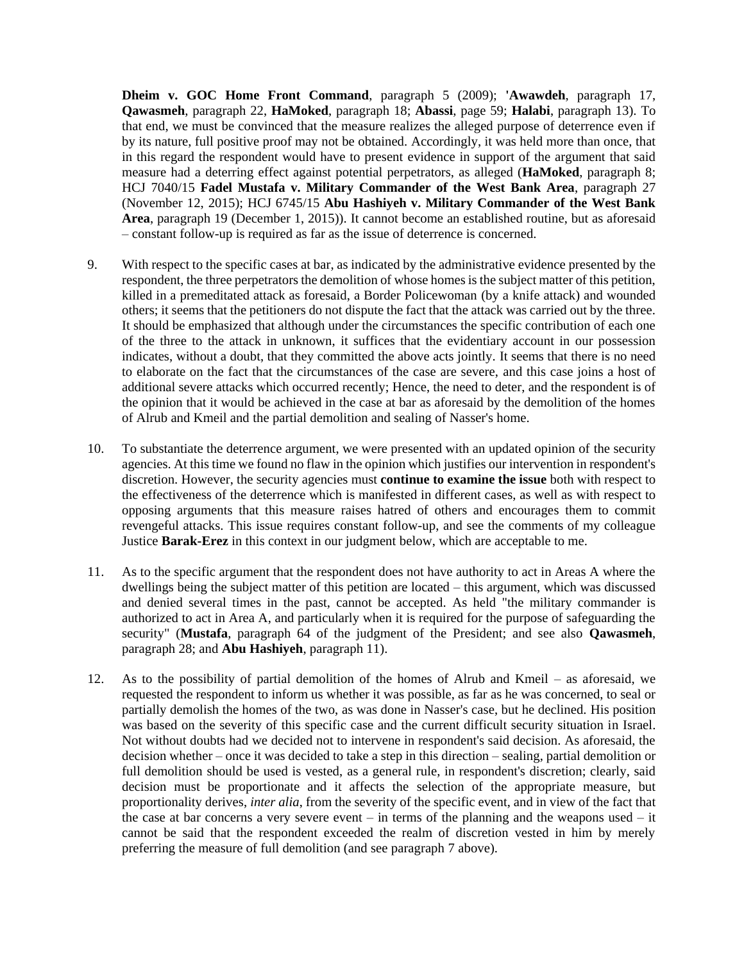**Dheim v. GOC Home Front Command**, paragraph 5 (2009); **'Awawdeh**, paragraph 17, **Qawasmeh**, paragraph 22, **HaMoked**, paragraph 18; **Abassi**, page 59; **Halabi**, paragraph 13). To that end, we must be convinced that the measure realizes the alleged purpose of deterrence even if by its nature, full positive proof may not be obtained. Accordingly, it was held more than once, that in this regard the respondent would have to present evidence in support of the argument that said measure had a deterring effect against potential perpetrators, as alleged (**HaMoked**, paragraph 8; HCJ 7040/15 **Fadel Mustafa v. Military Commander of the West Bank Area**, paragraph 27 (November 12, 2015); HCJ 6745/15 **Abu Hashiyeh v. Military Commander of the West Bank Area**, paragraph 19 (December 1, 2015)). It cannot become an established routine, but as aforesaid – constant follow-up is required as far as the issue of deterrence is concerned.

- 9. With respect to the specific cases at bar, as indicated by the administrative evidence presented by the respondent, the three perpetrators the demolition of whose homes is the subject matter of this petition, killed in a premeditated attack as foresaid, a Border Policewoman (by a knife attack) and wounded others; it seems that the petitioners do not dispute the fact that the attack was carried out by the three. It should be emphasized that although under the circumstances the specific contribution of each one of the three to the attack in unknown, it suffices that the evidentiary account in our possession indicates, without a doubt, that they committed the above acts jointly. It seems that there is no need to elaborate on the fact that the circumstances of the case are severe, and this case joins a host of additional severe attacks which occurred recently; Hence, the need to deter, and the respondent is of the opinion that it would be achieved in the case at bar as aforesaid by the demolition of the homes of Alrub and Kmeil and the partial demolition and sealing of Nasser's home.
- 10. To substantiate the deterrence argument, we were presented with an updated opinion of the security agencies. At this time we found no flaw in the opinion which justifies our intervention in respondent's discretion. However, the security agencies must **continue to examine the issue** both with respect to the effectiveness of the deterrence which is manifested in different cases, as well as with respect to opposing arguments that this measure raises hatred of others and encourages them to commit revengeful attacks. This issue requires constant follow-up, and see the comments of my colleague Justice **Barak-Erez** in this context in our judgment below, which are acceptable to me.
- 11. As to the specific argument that the respondent does not have authority to act in Areas A where the dwellings being the subject matter of this petition are located – this argument, which was discussed and denied several times in the past, cannot be accepted. As held "the military commander is authorized to act in Area A, and particularly when it is required for the purpose of safeguarding the security" (**Mustafa**, paragraph 64 of the judgment of the President; and see also **Qawasmeh**, paragraph 28; and **Abu Hashiyeh**, paragraph 11).
- 12. As to the possibility of partial demolition of the homes of Alrub and Kmeil as aforesaid, we requested the respondent to inform us whether it was possible, as far as he was concerned, to seal or partially demolish the homes of the two, as was done in Nasser's case, but he declined. His position was based on the severity of this specific case and the current difficult security situation in Israel. Not without doubts had we decided not to intervene in respondent's said decision. As aforesaid, the decision whether – once it was decided to take a step in this direction – sealing, partial demolition or full demolition should be used is vested, as a general rule, in respondent's discretion; clearly, said decision must be proportionate and it affects the selection of the appropriate measure, but proportionality derives, *inter alia*, from the severity of the specific event, and in view of the fact that the case at bar concerns a very severe event – in terms of the planning and the weapons used – it cannot be said that the respondent exceeded the realm of discretion vested in him by merely preferring the measure of full demolition (and see paragraph 7 above).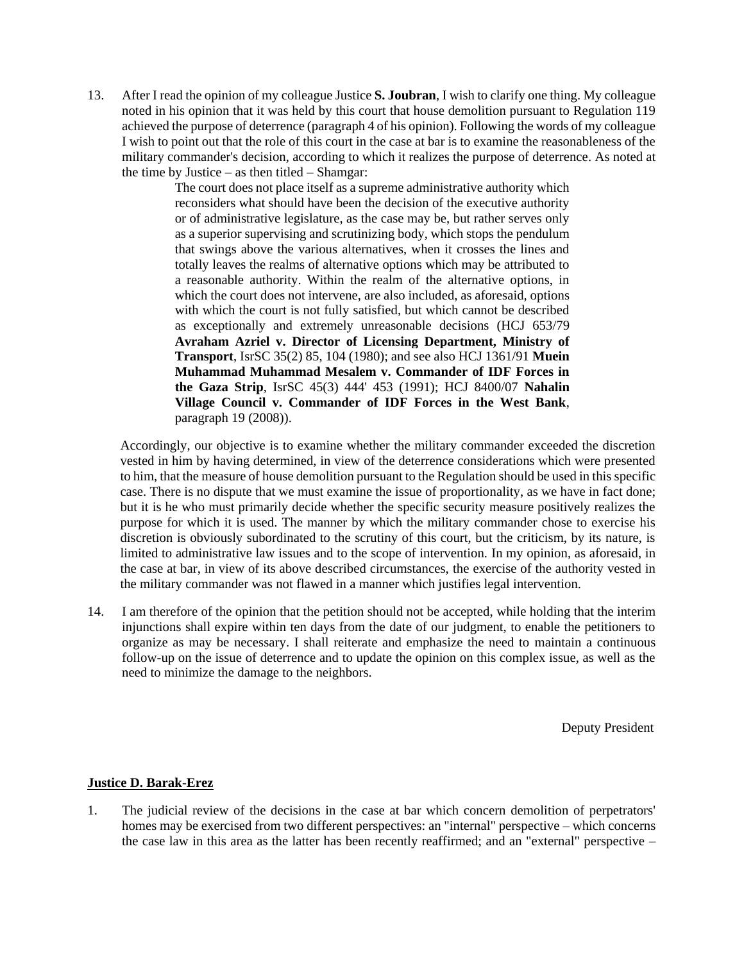13. After I read the opinion of my colleague Justice **S. Joubran**, I wish to clarify one thing. My colleague noted in his opinion that it was held by this court that house demolition pursuant to Regulation 119 achieved the purpose of deterrence (paragraph 4 of his opinion). Following the words of my colleague I wish to point out that the role of this court in the case at bar is to examine the reasonableness of the military commander's decision, according to which it realizes the purpose of deterrence. As noted at the time by Justice – as then titled – Shamgar:

> The court does not place itself as a supreme administrative authority which reconsiders what should have been the decision of the executive authority or of administrative legislature, as the case may be, but rather serves only as a superior supervising and scrutinizing body, which stops the pendulum that swings above the various alternatives, when it crosses the lines and totally leaves the realms of alternative options which may be attributed to a reasonable authority. Within the realm of the alternative options, in which the court does not intervene, are also included, as aforesaid, options with which the court is not fully satisfied, but which cannot be described as exceptionally and extremely unreasonable decisions (HCJ 653/79 **Avraham Azriel v. Director of Licensing Department, Ministry of Transport**, IsrSC 35(2) 85, 104 (1980); and see also HCJ 1361/91 **Muein Muhammad Muhammad Mesalem v. Commander of IDF Forces in the Gaza Strip**, IsrSC 45(3) 444' 453 (1991); HCJ 8400/07 **Nahalin Village Council v. Commander of IDF Forces in the West Bank**, paragraph 19 (2008)).

Accordingly, our objective is to examine whether the military commander exceeded the discretion vested in him by having determined, in view of the deterrence considerations which were presented to him, that the measure of house demolition pursuant to the Regulation should be used in this specific case. There is no dispute that we must examine the issue of proportionality, as we have in fact done; but it is he who must primarily decide whether the specific security measure positively realizes the purpose for which it is used. The manner by which the military commander chose to exercise his discretion is obviously subordinated to the scrutiny of this court, but the criticism, by its nature, is limited to administrative law issues and to the scope of intervention. In my opinion, as aforesaid, in the case at bar, in view of its above described circumstances, the exercise of the authority vested in the military commander was not flawed in a manner which justifies legal intervention.

14. I am therefore of the opinion that the petition should not be accepted, while holding that the interim injunctions shall expire within ten days from the date of our judgment, to enable the petitioners to organize as may be necessary. I shall reiterate and emphasize the need to maintain a continuous follow-up on the issue of deterrence and to update the opinion on this complex issue, as well as the need to minimize the damage to the neighbors.

Deputy President

## **Justice D. Barak-Erez**

1. The judicial review of the decisions in the case at bar which concern demolition of perpetrators' homes may be exercised from two different perspectives: an "internal" perspective – which concerns the case law in this area as the latter has been recently reaffirmed; and an "external" perspective –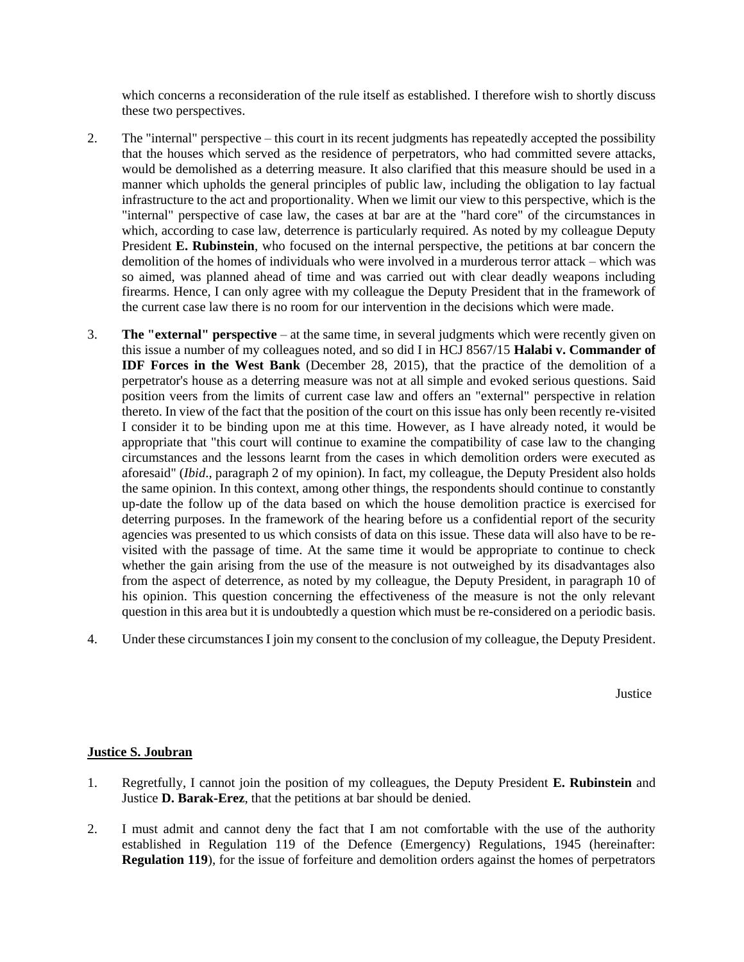which concerns a reconsideration of the rule itself as established. I therefore wish to shortly discuss these two perspectives.

- 2. The "internal" perspective this court in its recent judgments has repeatedly accepted the possibility that the houses which served as the residence of perpetrators, who had committed severe attacks, would be demolished as a deterring measure. It also clarified that this measure should be used in a manner which upholds the general principles of public law, including the obligation to lay factual infrastructure to the act and proportionality. When we limit our view to this perspective, which is the "internal" perspective of case law, the cases at bar are at the "hard core" of the circumstances in which, according to case law, deterrence is particularly required. As noted by my colleague Deputy President **E. Rubinstein**, who focused on the internal perspective, the petitions at bar concern the demolition of the homes of individuals who were involved in a murderous terror attack – which was so aimed, was planned ahead of time and was carried out with clear deadly weapons including firearms. Hence, I can only agree with my colleague the Deputy President that in the framework of the current case law there is no room for our intervention in the decisions which were made.
- 3. **The "external" perspective**  at the same time, in several judgments which were recently given on this issue a number of my colleagues noted, and so did I in HCJ 8567/15 **Halabi v. Commander of IDF Forces in the West Bank** (December 28, 2015), that the practice of the demolition of a perpetrator's house as a deterring measure was not at all simple and evoked serious questions. Said position veers from the limits of current case law and offers an "external" perspective in relation thereto. In view of the fact that the position of the court on this issue has only been recently re-visited I consider it to be binding upon me at this time. However, as I have already noted, it would be appropriate that "this court will continue to examine the compatibility of case law to the changing circumstances and the lessons learnt from the cases in which demolition orders were executed as aforesaid" (*Ibid*., paragraph 2 of my opinion). In fact, my colleague, the Deputy President also holds the same opinion. In this context, among other things, the respondents should continue to constantly up-date the follow up of the data based on which the house demolition practice is exercised for deterring purposes. In the framework of the hearing before us a confidential report of the security agencies was presented to us which consists of data on this issue. These data will also have to be revisited with the passage of time. At the same time it would be appropriate to continue to check whether the gain arising from the use of the measure is not outweighed by its disadvantages also from the aspect of deterrence, as noted by my colleague, the Deputy President, in paragraph 10 of his opinion. This question concerning the effectiveness of the measure is not the only relevant question in this area but it is undoubtedly a question which must be re-considered on a periodic basis.
- 4. Under these circumstances I join my consent to the conclusion of my colleague, the Deputy President.

Justice

## **Justice S. Joubran**

- 1. Regretfully, I cannot join the position of my colleagues, the Deputy President **E. Rubinstein** and Justice **D. Barak-Erez**, that the petitions at bar should be denied.
- 2. I must admit and cannot deny the fact that I am not comfortable with the use of the authority established in Regulation 119 of the Defence (Emergency) Regulations, 1945 (hereinafter: **Regulation 119**), for the issue of forfeiture and demolition orders against the homes of perpetrators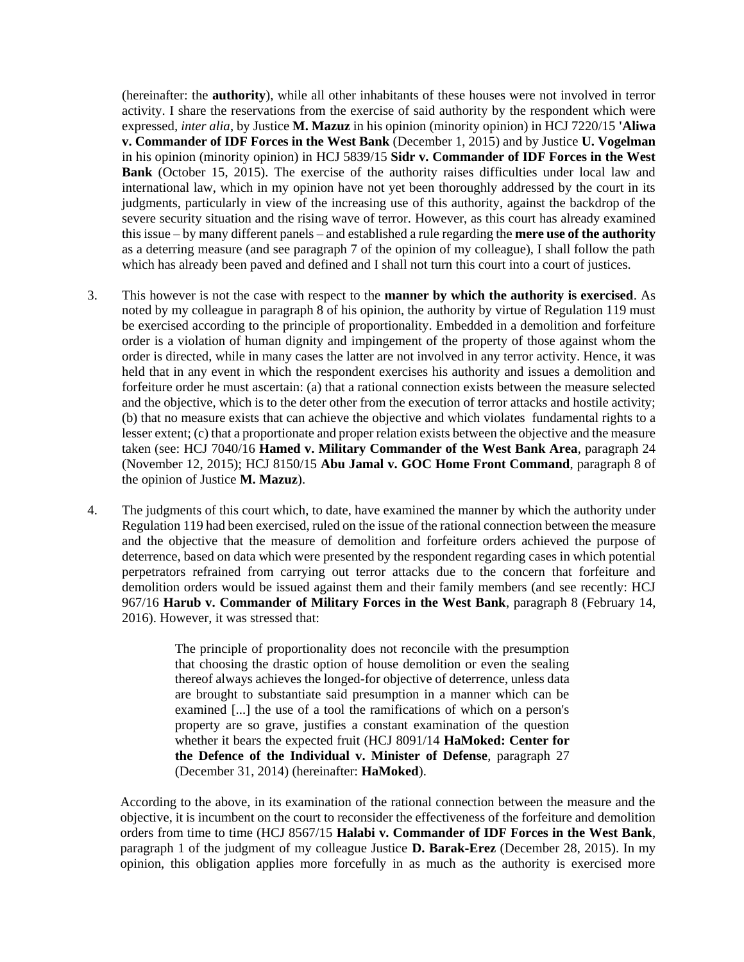(hereinafter: the **authority**), while all other inhabitants of these houses were not involved in terror activity. I share the reservations from the exercise of said authority by the respondent which were expressed*, inter alia*, by Justice **M. Mazuz** in his opinion (minority opinion) in HCJ 7220/15 **'Aliwa v. Commander of IDF Forces in the West Bank** (December 1, 2015) and by Justice **U. Vogelman** in his opinion (minority opinion) in HCJ 5839/15 **Sidr v. Commander of IDF Forces in the West Bank** (October 15, 2015). The exercise of the authority raises difficulties under local law and international law, which in my opinion have not yet been thoroughly addressed by the court in its judgments, particularly in view of the increasing use of this authority, against the backdrop of the severe security situation and the rising wave of terror. However, as this court has already examined this issue – by many different panels – and established a rule regarding the **mere use of the authority** as a deterring measure (and see paragraph 7 of the opinion of my colleague), I shall follow the path which has already been paved and defined and I shall not turn this court into a court of justices.

- 3. This however is not the case with respect to the **manner by which the authority is exercised**. As noted by my colleague in paragraph 8 of his opinion, the authority by virtue of Regulation 119 must be exercised according to the principle of proportionality. Embedded in a demolition and forfeiture order is a violation of human dignity and impingement of the property of those against whom the order is directed, while in many cases the latter are not involved in any terror activity. Hence, it was held that in any event in which the respondent exercises his authority and issues a demolition and forfeiture order he must ascertain: (a) that a rational connection exists between the measure selected and the objective, which is to the deter other from the execution of terror attacks and hostile activity; (b) that no measure exists that can achieve the objective and which violates fundamental rights to a lesser extent; (c) that a proportionate and proper relation exists between the objective and the measure taken (see: HCJ 7040/16 **Hamed v. Military Commander of the West Bank Area**, paragraph 24 (November 12, 2015); HCJ 8150/15 **Abu Jamal v. GOC Home Front Command**, paragraph 8 of the opinion of Justice **M. Mazuz**).
- 4. The judgments of this court which, to date, have examined the manner by which the authority under Regulation 119 had been exercised, ruled on the issue of the rational connection between the measure and the objective that the measure of demolition and forfeiture orders achieved the purpose of deterrence, based on data which were presented by the respondent regarding cases in which potential perpetrators refrained from carrying out terror attacks due to the concern that forfeiture and demolition orders would be issued against them and their family members (and see recently: HCJ 967/16 **Harub v. Commander of Military Forces in the West Bank**, paragraph 8 (February 14, 2016). However, it was stressed that:

The principle of proportionality does not reconcile with the presumption that choosing the drastic option of house demolition or even the sealing thereof always achieves the longed-for objective of deterrence, unless data are brought to substantiate said presumption in a manner which can be examined [...] the use of a tool the ramifications of which on a person's property are so grave, justifies a constant examination of the question whether it bears the expected fruit (HCJ 8091/14 **HaMoked: Center for the Defence of the Individual v. Minister of Defense**, paragraph 27 (December 31, 2014) (hereinafter: **HaMoked**).

According to the above, in its examination of the rational connection between the measure and the objective, it is incumbent on the court to reconsider the effectiveness of the forfeiture and demolition orders from time to time (HCJ 8567/15 **Halabi v. Commander of IDF Forces in the West Bank**, paragraph 1 of the judgment of my colleague Justice **D. Barak-Erez** (December 28, 2015). In my opinion, this obligation applies more forcefully in as much as the authority is exercised more